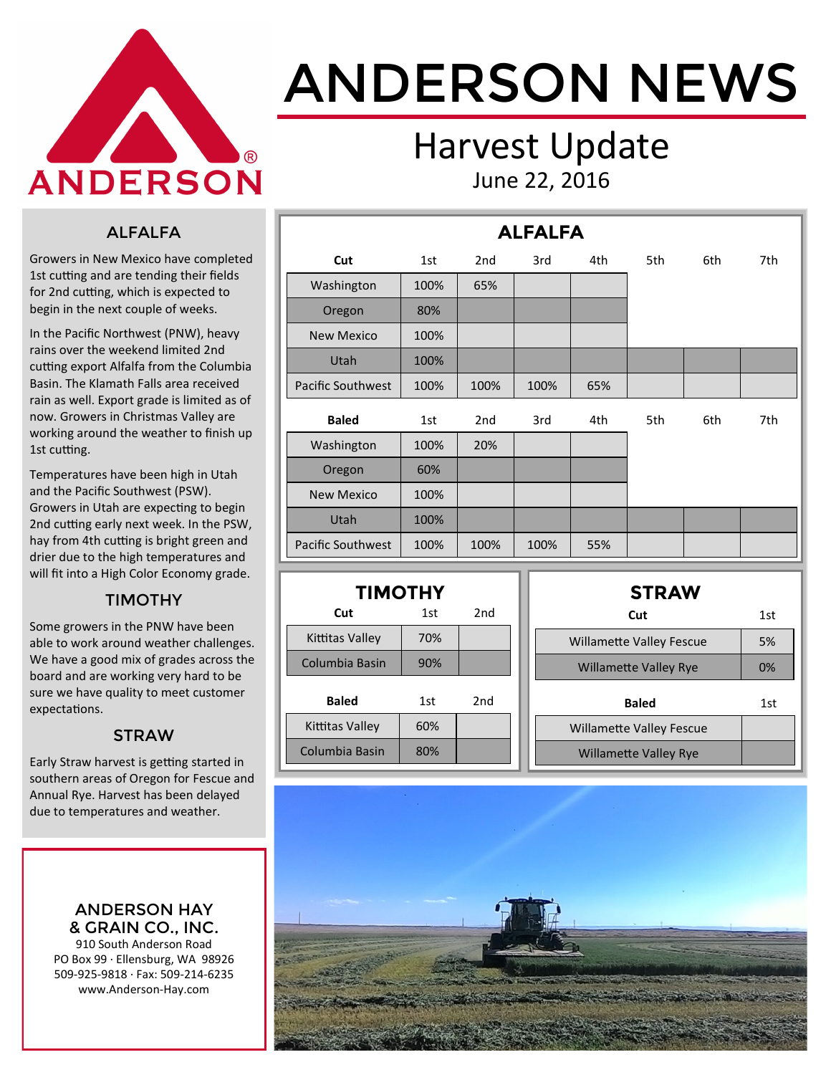

# ANDERSON NEWS

### Harvest Update June 22, 2016

#### ALFALFA

Growers in New Mexico have completed 1st cutting and are tending their fields for 2nd cutting, which is expected to begin in the next couple of weeks.

In the Pacific Northwest (PNW), heavy rains over the weekend limited 2nd cutting export Alfalfa from the Columbia Basin. The Klamath Falls area received rain as well. Export grade is limited as of now. Growers in Christmas Valley are working around the weather to finish up 1st cutting.

Temperatures have been high in Utah and the Pacific Southwest (PSW). Growers in Utah are expecting to begin 2nd cutting early next week. In the PSW, hay from 4th cutting is bright green and drier due to the high temperatures and will fit into a High Color Economy grade.

#### TIMOTHY

Some growers in the PNW have been able to work around weather challenges. We have a good mix of grades across the board and are working very hard to be sure we have quality to meet customer expectations.

#### **STRAW**

Early Straw harvest is getting started in southern areas of Oregon for Fescue and Annual Rye. Harvest has been delayed due to temperatures and weather.

> ANDERSON HAY & GRAIN CO., INC.

910 South Anderson Road PO Box 99 · Ellensburg, WA 98926 509-925-9818 · Fax: 509-214-6235 www.Anderson-Hay.com

|                          |      |                 | <b>ALFALFA</b> |     |     |     |     |
|--------------------------|------|-----------------|----------------|-----|-----|-----|-----|
| Cut                      | 1st  | 2 <sub>nd</sub> | 3rd            | 4th | 5th | 6th | 7th |
| Washington               | 100% | 65%             |                |     |     |     |     |
| Oregon                   | 80%  |                 |                |     |     |     |     |
| <b>New Mexico</b>        | 100% |                 |                |     |     |     |     |
| Utah                     | 100% |                 |                |     |     |     |     |
| <b>Pacific Southwest</b> | 100% | 100%            | 100%           | 65% |     |     |     |
| <b>Baled</b>             | 1st  | 2 <sub>nd</sub> | 3rd            | 4th | 5th | 6th | 7th |
| Washington               | 100% | 20%             |                |     |     |     |     |
| Oregon                   | 60%  |                 |                |     |     |     |     |
| <b>New Mexico</b>        | 100% |                 |                |     |     |     |     |
| Utah                     | 100% |                 |                |     |     |     |     |
| Pacific Southwest        | 100% | 100%            | 100%           | 55% |     |     |     |

| <b>TIMOTHY</b>  |     |     |  |  |  |  |  |  |  |
|-----------------|-----|-----|--|--|--|--|--|--|--|
| Cut             | 1st | 2nd |  |  |  |  |  |  |  |
| Kittitas Valley | 70% |     |  |  |  |  |  |  |  |
| Columbia Basin  | 90% |     |  |  |  |  |  |  |  |
| Baled           | 1st | 2nd |  |  |  |  |  |  |  |
| Kittitas Valley | 60% |     |  |  |  |  |  |  |  |
| Columbia Basin  | 80% |     |  |  |  |  |  |  |  |

| <b>STRAW</b>                    |     |
|---------------------------------|-----|
| Cut                             | 1st |
| <b>Willamette Valley Fescue</b> | 5%  |
| <b>Willamette Valley Rye</b>    | 0%  |
| <b>Baled</b>                    | 1st |
| <b>Willamette Valley Fescue</b> |     |
| <b>Willamette Valley Rye</b>    |     |